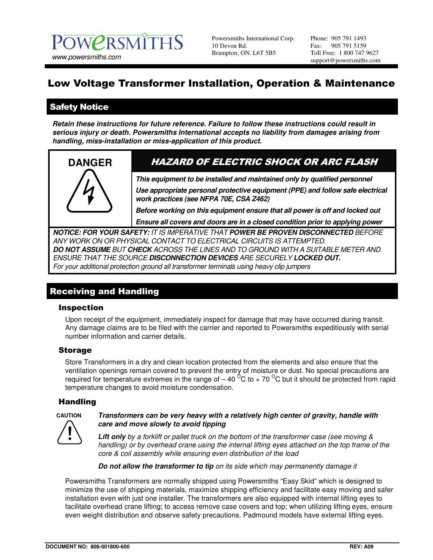Powersmiths International Corp. 10 Devon Rd. Brampton, ON. L6T 5B5

Phone: 905 791 1493 Fax: 905 791 5159 Toll Free: 1 800 747 9627 support@powersmiths.com

# Low Voltage Transformer Installation, Operation & Maintenance

# Safety Notice

**Retain these instructions for future reference. Failure to follow these instructions could result in serious injury or death. Powersmiths International accepts no liability from damages arising from handling, miss-installation or miss-application of this product.** 



# **DANGER** HAZARD OF ELECTRIC SHOCK OR ARC FLASH

**This equipment to be installed and maintained only by qualified personnel** 

**Use appropriate personal protective equipment (PPE) and follow safe electrical work practices (see NFPA 70E, CSA Z462)** 

**Before working on this equipment ensure that all power is off and locked out** 

**Ensure all covers and doors are in a closed condition prior to applying power** 

**NOTICE: FOR YOUR SAFETY:** IT IS IMPERATIVE THAT **POWER BE PROVEN DISCONNECTED** BEFORE ANY WORK ON OR PHYSICAL CONTACT TO ELECTRICAL CIRCUITS IS ATTEMPTED. **DO NOT ASSUME** BUT **CHECK** ACROSS THE LINES AND TO GROUND WITH A SUITABLE METER AND ENSURE THAT THE SOURCE **DISCONNECTION DEVICES** ARE SECURELY **LOCKED OUT.**  For your additional protection ground all transformer terminals using heavy clip jumpers

# Receiving and Handling

#### Inspection

Upon receipt of the equipment, immediately inspect for damage that may have occurred during transit. Any damage claims are to be filed with the carrier and reported to Powersmiths expeditiously with serial number information and carrier details.

#### Storage

Store Transformers in a dry and clean location protected from the elements and also ensure that the ventilation openings remain covered to prevent the entry of moisture or dust. No special precautions are required for temperature extremes in the range of  $-$  40  $\mathrm{^0C}$  to + 70  $\mathrm{^0C}$  but it should be protected from rapid temperature changes to avoid moisture condensation.

#### Handling



**CAUTION Transformers can be very heavy with a relatively high center of gravity, handle with care and move slowly to avoid tipping** 

> **Lift only** by a forklift or pallet truck on the bottom of the transformer case (see moving & handling) or by overhead crane using the internal lifting eyes attached on the top frame of the core & coil assembly while ensuring even distribution of the load

**Do not allow the transformer to tip** on its side which may permanently damage it

Powersmiths Transformers are normally shipped using Powersmiths "Easy Skid" which is designed to minimize the use of shipping materials, maximize shipping efficiency and facilitate easy moving and safer installation even with just one installer. The transformers are also equipped with internal lifting eyes to facilitate overhead crane lifting; to access remove case covers and top; when utilizing lifting eyes, ensure even weight distribution and observe safety precautions. Padmound models have external lifting eyes.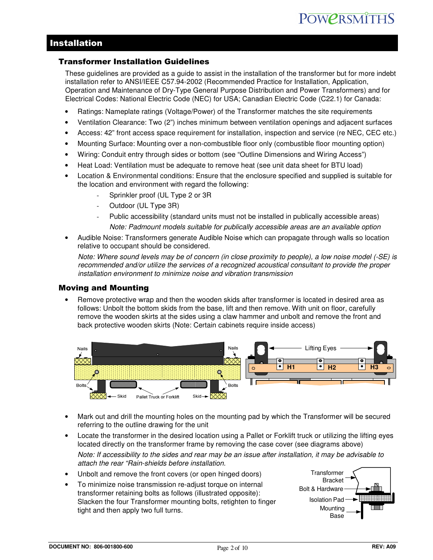### Installation

#### Transformer Installation Guidelines

These guidelines are provided as a guide to assist in the installation of the transformer but for more indebt installation refer to ANSI/IEEE C57.94-2002 (Recommended Practice for Installation, Application, Operation and Maintenance of Dry-Type General Purpose Distribution and Power Transformers) and for Electrical Codes: National Electric Code (NEC) for USA; Canadian Electric Code (C22.1) for Canada:

- Ratings: Nameplate ratings (Voltage/Power) of the Transformer matches the site requirements
- Ventilation Clearance: Two (2") inches minimum between ventilation openings and adjacent surfaces
- Access: 42" front access space requirement for installation, inspection and service (re NEC, CEC etc.)
- Mounting Surface: Mounting over a non-combustible floor only (combustible floor mounting option)
- Wiring: Conduit entry through sides or bottom (see "Outline Dimensions and Wiring Access")
- Heat Load: Ventilation must be adequate to remove heat (see unit data sheet for BTU load)
- Location & Environmental conditions: Ensure that the enclosure specified and supplied is suitable for the location and environment with regard the following:
	- Sprinkler proof (UL Type 2 or 3R
	- Outdoor (UL Type 3R)
	- Public accessibility (standard units must not be installed in publically accessible areas) Note: Padmount models suitable for publically accessible areas are an available option
- Audible Noise: Transformers generate Audible Noise which can propagate through walls so location relative to occupant should be considered.

Note: Where sound levels may be of concern (in close proximity to people), a low noise model (-SE) is recommended and/or utilize the services of a recognized acoustical consultant to provide the proper installation environment to minimize noise and vibration transmission

#### Moving and Mounting

• Remove protective wrap and then the wooden skids after transformer is located in desired area as follows: Unbolt the bottom skids from the base, lift and then remove. With unit on floor, carefully remove the wooden skirts at the sides using a claw hammer and unbolt and remove the front and back protective wooden skirts (Note: Certain cabinets require inside access)



- Mark out and drill the mounting holes on the mounting pad by which the Transformer will be secured referring to the outline drawing for the unit
- Locate the transformer in the desired location using a Pallet or Forklift truck or utilizing the lifting eyes located directly on the transformer frame by removing the case cover (see diagrams above)

Note: If accessibility to the sides and rear may be an issue after installation, it may be advisable to attach the rear "Rain-shields before installation.

- Unbolt and remove the front covers (or open hinged doors)
- To minimize noise transmission re-adjust torque on internal transformer retaining bolts as follows (illustrated opposite): Slacken the four Transformer mounting bolts, retighten to finger tight and then apply two full turns.

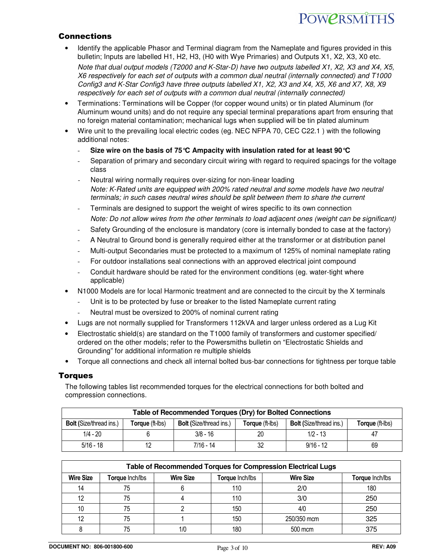# **POWPRSMITHS**

#### Connections

• Identify the applicable Phasor and Terminal diagram from the Nameplate and figures provided in this bulletin; Inputs are labelled H1, H2, H3, (H0 with Wye Primaries) and Outputs X1, X2, X3, X0 etc.

Note that dual output models (T2000 and K-Star-D) have two outputs labelled X1, X2, X3 and X4, X5, X6 respectively for each set of outputs with a common dual neutral (internally connected) and T1000 Config3 and K-Star Config3 have three outputs labelled X1, X2, X3 and X4, X5, X6 and X7, X8, X9 respectively for each set of outputs with a common dual neutral (internally connected)

- Terminations: Terminations will be Copper (for copper wound units) or tin plated Aluminum (for Aluminum wound units) and do not require any special terminal preparations apart from ensuring that no foreign material contamination; mechanical lugs when supplied will be tin plated aluminum
- Wire unit to the prevailing local electric codes (eg. NEC NFPA 70, CEC C22.1) with the following additional notes:
	- **Size wire on the basis of 75°C Ampacity with insulation rated for at least 90°C**
	- Separation of primary and secondary circuit wiring with regard to required spacings for the voltage class
	- Neutral wiring normally requires over-sizing for non-linear loading Note: K-Rated units are equipped with 200% rated neutral and some models have two neutral terminals; in such cases neutral wires should be split between them to share the current
	- Terminals are designed to support the weight of wires specific to its own connection Note: Do not allow wires from the other terminals to load adjacent ones (weight can be significant)
	- Safety Grounding of the enclosure is mandatory (core is internally bonded to case at the factory)
	- A Neutral to Ground bond is generally required either at the transformer or at distribution panel
	- Multi-output Secondaries must be protected to a maximum of 125% of nominal nameplate rating
	- For outdoor installations seal connections with an approved electrical joint compound
	- Conduit hardware should be rated for the environment conditions (eg. water-tight where applicable)
- N1000 Models are for local Harmonic treatment and are connected to the circuit by the X terminals
	- Unit is to be protected by fuse or breaker to the listed Nameplate current rating
	- Neutral must be oversized to 200% of nominal current rating
- Lugs are not normally supplied for Transformers 112kVA and larger unless ordered as a Lug Kit
- Electrostatic shield(s) are standard on the T1000 family of transformers and customer specified/ ordered on the other models; refer to the Powersmiths bulletin on "Electrostatic Shields and Grounding" for additional information re multiple shields
- Torque all connections and check all internal bolted bus-bar connections for tightness per torque table

#### **Torques**

The following tables list recommended torques for the electrical connections for both bolted and compression connections.

| Table of Recommended Torques (Dry) for Bolted Connections |                 |                                |                 |                                |                        |  |  |  |  |
|-----------------------------------------------------------|-----------------|--------------------------------|-----------------|--------------------------------|------------------------|--|--|--|--|
| <b>Bolt (Size/thread ins.)</b>                            | Torque (ft-lbs) | <b>Bolt (Size/thread ins.)</b> | Torque (ft-lbs) | <b>Bolt (Size/thread ins.)</b> | <b>Torque</b> (ft-lbs) |  |  |  |  |
| $1/4 - 20$                                                |                 | $3/8 - 16$                     | 20              | $1/2 - 13$                     | 47                     |  |  |  |  |
| $5/16 - 18$                                               |                 | $7/16 - 14$                    |                 | $9/16 - 12$                    | 69                     |  |  |  |  |

| Table of Recommended Torques for Compression Electrical Lugs |                 |                  |                 |                  |                 |  |  |  |  |
|--------------------------------------------------------------|-----------------|------------------|-----------------|------------------|-----------------|--|--|--|--|
| <b>Wire Size</b>                                             | Torque Inch/lbs | <b>Wire Size</b> | Torque Inch/lbs | <b>Wire Size</b> | Torque Inch/lbs |  |  |  |  |
| 14                                                           | 75              |                  | 110             | 2/0              | 180             |  |  |  |  |
| 12                                                           | 75              |                  | 110             | 3/0              | 250             |  |  |  |  |
| 10                                                           | 75              |                  | 150             | 4/0              | 250             |  |  |  |  |
| 12                                                           | 75              |                  | 150             | 250/350 mcm      | 325             |  |  |  |  |
|                                                              | 75              | 1/0              | 180             | 500 mcm          | 375             |  |  |  |  |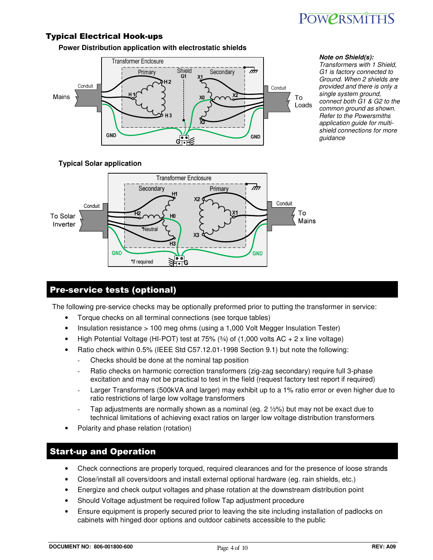

#### Typical Electrical Hook-ups

**Power Distribution application with electrostatic shields**



**Note on Shield(s):** 

Transformers with 1 Shield, G1 is factory connected to Ground. When 2 shields are provided and there is only a single system ground, connect both G1 & G2 to the common ground as shown. Refer to the Powersmiths application guide for multishield connections for more guidance

#### **Typical Solar application**



### Pre-service tests (optional)

The following pre-service checks may be optionally preformed prior to putting the transformer in service:

- Torque checks on all terminal connections (see torque tables)
- Insulation resistance > 100 meg ohms (using a 1,000 Volt Megger Insulation Tester)
- High Potential Voltage (HI-POT) test at  $75\%$  ( $\frac{3}{4}$ ) of (1,000 volts AC + 2 x line voltage)
- Ratio check within 0.5% (IEEE Std C57.12.01-1998 Section 9.1) but note the following:
	- Checks should be done at the nominal tap position
	- Ratio checks on harmonic correction transformers (zig-zag secondary) require full 3-phase excitation and may not be practical to test in the field (request factory test report if required)
	- Larger Transformers (500kVA and larger) may exhibit up to a 1% ratio error or even higher due to ratio restrictions of large low voltage transformers
	- Tap adjustments are normally shown as a nominal (eq.  $2 \frac{1}{2}\%$ ) but may not be exact due to technical limitations of achieving exact ratios on larger low voltage distribution transformers
- Polarity and phase relation (rotation)

#### Start-up and Operation

- Check connections are properly torqued, required clearances and for the presence of loose strands
- Close/install all covers/doors and install external optional hardware (eg. rain shields, etc.)
- Energize and check output voltages and phase rotation at the downstream distribution point
- Should Voltage adjustment be required follow Tap adjustment procedure
- Ensure equipment is properly secured prior to leaving the site including installation of padlocks on cabinets with hinged door options and outdoor cabinets accessible to the public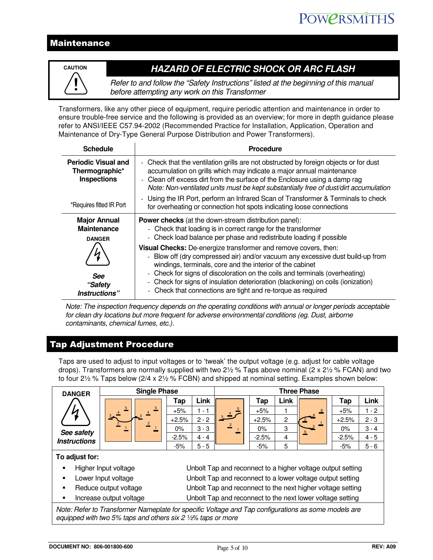## Maintenance



# **CAUTION HAZARD OF ELECTRIC SHOCK OR ARC FLASH**

Refer to and follow the "Safety Instructions" listed at the beginning of this manual before attempting any work on this Transformer

Transformers, like any other piece of equipment, require periodic attention and maintenance in order to ensure trouble-free service and the following is provided as an overview; for more in depth guidance please refer to ANSI/IEEE C57.94-2002 (Recommended Practice for Installation, Application, Operation and Maintenance of Dry-Type General Purpose Distribution and Power Transformers).

| <b>Schedule</b>                                                    | <b>Procedure</b>                                                                                                                                                                                                                                                                                                                                                                                                                                          |
|--------------------------------------------------------------------|-----------------------------------------------------------------------------------------------------------------------------------------------------------------------------------------------------------------------------------------------------------------------------------------------------------------------------------------------------------------------------------------------------------------------------------------------------------|
| <b>Periodic Visual and</b><br>Thermographic*<br><b>Inspections</b> | - Check that the ventilation grills are not obstructed by foreign objects or for dust<br>accumulation on grills which may indicate a major annual maintenance<br>- Clean off excess dirt from the surface of the Enclosure using a damp rag<br>Note: Non-ventilated units must be kept substantially free of dust/dirt accumulation                                                                                                                       |
| *Requires fitted IR Port                                           | - Using the IR Port, perform an Infrared Scan of Transformer & Terminals to check<br>for overheating or connection hot spots indicating loose connections                                                                                                                                                                                                                                                                                                 |
| <b>Major Annual</b><br><b>Maintenance</b><br><b>DANGER</b>         | <b>Power checks</b> (at the down-stream distribution panel):<br>- Check that loading is in correct range for the transformer<br>- Check load balance per phase and redistribute loading if possible                                                                                                                                                                                                                                                       |
| See<br>"Safety<br>Instructions"                                    | Visual Checks: De-energize transformer and remove covers, then:<br>- Blow off (dry compressed air) and/or vacuum any excessive dust build-up from<br>windings, terminals, core and the interior of the cabinet<br>- Check for signs of discoloration on the coils and terminals (overheating)<br>- Check for signs of insulation deterioration (blackening) on coils (ionization)<br>Check that connections are tight and re-torque as required<br>$\sim$ |

Note: The inspection frequency depends on the operating conditions with annual or longer periods acceptable for clean dry locations but more frequent for adverse environmental conditions (eg. Dust, airborne contaminants, chemical fumes, etc.).

### Tap Adjustment Procedure

Taps are used to adjust to input voltages or to 'tweak' the output voltage (e.g. adjust for cable voltage drops). Transformers are normally supplied with two  $2\frac{1}{2}$  % Taps above nominal (2 x 2 $\frac{1}{2}$  % FCAN) and two to four 2½ % Taps below ( $2/4 \times 2\frac{1}{2}$  % FCBN) and shipped at nominal setting. Examples shown below:

| <b>DANGER</b>                                                                                                                                                                 | <b>Single Phase</b>                                                                  | <b>Three Phase</b> |             |                |         |                |   |         |             |
|-------------------------------------------------------------------------------------------------------------------------------------------------------------------------------|--------------------------------------------------------------------------------------|--------------------|-------------|----------------|---------|----------------|---|---------|-------------|
|                                                                                                                                                                               |                                                                                      | Tap                | <b>Link</b> |                | Tap     | Link           | 6 | Tap     | <b>Link</b> |
| И                                                                                                                                                                             | 5                                                                                    | $+5%$              | $1 - 1$     | 3 <sup>4</sup> | $+5%$   |                |   | $+5%$   | $1 - 2$     |
|                                                                                                                                                                               |                                                                                      | $+2.5%$            | $2 - 2$     |                | $+2.5%$ | $\overline{2}$ |   | $+2.5%$ | $2 - 3$     |
| See safety                                                                                                                                                                    |                                                                                      | $0\%$              | $3 - 3$     |                | $0\%$   | 3              |   | $0\%$   | $3 - 4$     |
| <b>Instructions</b>                                                                                                                                                           |                                                                                      | $-2.5%$            | $4 - 4$     |                | $-2.5%$ | 4              |   | $-2.5%$ | $4 - 5$     |
|                                                                                                                                                                               |                                                                                      | $-5%$              | $5 - 5$     |                | $-5%$   | 5              |   | $-5%$   | $5 - 6$     |
| To adjust for:                                                                                                                                                                |                                                                                      |                    |             |                |         |                |   |         |             |
|                                                                                                                                                                               | Higher Input voltage<br>Unbolt Tap and reconnect to a higher voltage output setting  |                    |             |                |         |                |   |         |             |
|                                                                                                                                                                               | Unbolt Tap and reconnect to a lower voltage output setting<br>Lower Input voltage    |                    |             |                |         |                |   |         |             |
|                                                                                                                                                                               | Unbolt Tap and reconnect to the next higher voltage setting<br>Reduce output voltage |                    |             |                |         |                |   |         |             |
| Unbolt Tap and reconnect to the next lower voltage setting<br>Increase output voltage                                                                                         |                                                                                      |                    |             |                |         |                |   |         |             |
| Note: Refer to Transformer Nameplate for specific Voltage and Tap configurations as some models are<br>equipped with two 5% taps and others $\sin 2 \frac{1}{2}$ taps or more |                                                                                      |                    |             |                |         |                |   |         |             |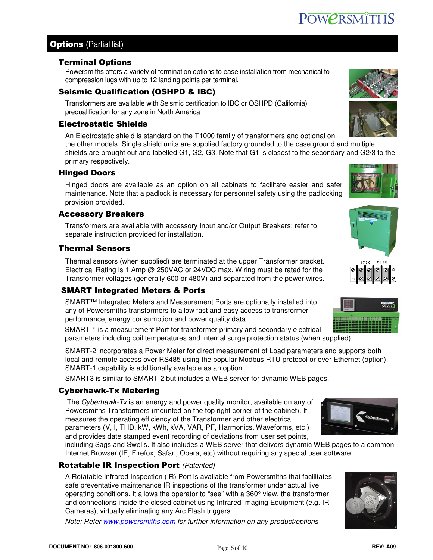# **Options** (Partial list)

### Terminal Options

Powersmiths offers a variety of termination options to ease installation from mechanical to compression lugs with up to 12 landing points per terminal.

# Seismic Qualification (OSHPD & IBC)

Transformers are available with Seismic certification to IBC or OSHPD (California) prequalification for any zone in North America

## Electrostatic Shields

An Electrostatic shield is standard on the T1000 family of transformers and optional on

the other models. Single shield units are supplied factory grounded to the case ground and multiple shields are brought out and labelled G1, G2, G3. Note that G1 is closest to the secondary and G2/3 to the primary respectively.

# Hinged Doors

Hinged doors are available as an option on all cabinets to facilitate easier and safer maintenance. Note that a padlock is necessary for personnel safety using the padlocking provision provided.

# Accessory Breakers

Transformers are available with accessory Input and/or Output Breakers; refer to separate instruction provided for installation.

# Thermal Sensors

Thermal sensors (when supplied) are terminated at the upper Transformer bracket. Electrical Rating is 1 Amp @ 250VAC or 24VDC max. Wiring must be rated for the Transformer voltages (generally 600 or 480V) and separated from the power wires.

# SMART Integrated Meters & Ports

SMART™ Integrated Meters and Measurement Ports are optionally installed into any of Powersmiths transformers to allow fast and easy access to transformer performance, energy consumption and power quality data.

SMART-1 is a measurement Port for transformer primary and secondary electrical parameters including coil temperatures and internal surge protection status (when supplied).

SMART-2 incorporates a Power Meter for direct measurement of Load parameters and supports both local and remote access over RS485 using the popular Modbus RTU protocol or over Ethernet (option). SMART-1 capability is additionally available as an option.

SMART3 is similar to SMART-2 but includes a WEB server for dynamic WEB pages.

# Cyberhawk-Tx Metering

The Cyberhawk-Tx is an energy and power quality monitor, available on any of Powersmiths Transformers (mounted on the top right corner of the cabinet). It measures the operating efficiency of the Transformer and other electrical parameters (V, I, THD, kW, kWh, kVA, VAR, PF, Harmonics, Waveforms, etc.) and provides date stamped event recording of deviations from user set points,

including Sags and Swells. It also includes a WEB server that delivers dynamic WEB pages to a common Internet Browser (IE, Firefox, Safari, Opera, etc) without requiring any special user software.

# **Rotatable IR Inspection Port (Patented)**

A Rotatable Infrared Inspection (IR) Port is available from Powersmiths that facilitates safe preventative maintenance IR inspections of the transformer under actual live operating conditions. It allows the operator to "see" with a 360° view, the transformer and connections inside the closed cabinet using Infrared Imaging Equipment (e.g. IR Cameras), virtually eliminating any Arc Flash triggers.

Note: Refer www.powersmiths.com for further information on any product/options









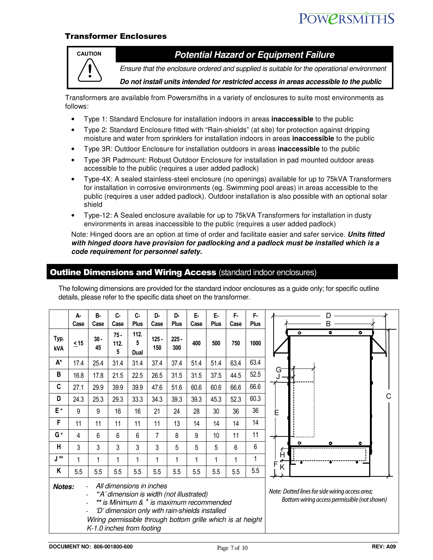# **POWPRSMITHS**

#### Transformer Enclosures



# **CAUTION Potential Hazard or Equipment Failure**

Ensure that the enclosure ordered and supplied is suitable for the operational environment

**Do not install units intended for restricted access in areas accessible to the public** 

Transformers are available from Powersmiths in a variety of enclosures to suite most environments as follows:

- Type 1: Standard Enclosure for installation indoors in areas **inaccessible** to the public
- Type 2: Standard Enclosure fitted with "Rain-shields" (at site) for protection against dripping moisture and water from sprinklers for installation indoors in areas **inaccessible** to the public
- Type 3R: Outdoor Enclosure for installation outdoors in areas **inaccessible** to the public
- Type 3R Padmount: Robust Outdoor Enclosure for installation in pad mounted outdoor areas accessible to the public (requires a user added padlock)
- Type-4X: A sealed stainless-steel enclosure (no openings) available for up to 75kVA Transformers for installation in corrosive environments (eg. Swimming pool areas) in areas accessible to the public (requires a user added padlock). Outdoor installation is also possible with an optional solar shield
- Type-12: A Sealed enclosure available for up to 75kVA Transformers for installation in dusty environments in areas inaccessible to the public (requires a user added padlock)

Note: Hinged doors are an option at time of order and facilitate easier and safer service. **Units fitted with hinged doors have provision for padlocking and a padlock must be installed which is a code requirement for personnel safety.**

#### **Outline Dimensions and Wiring Access (standard indoor enclosures)**

|                                                                                                                                                                                                                                                                                           | А-<br>Case | B-<br>Case   | c-<br>Case          | C-<br>Plus        | D-<br>Case     | D-<br><b>Plus</b> | Е-<br>Case | Е.<br>Plus | F-<br>Case                                                                                      | F-<br><b>Plus</b> | R                   |
|-------------------------------------------------------------------------------------------------------------------------------------------------------------------------------------------------------------------------------------------------------------------------------------------|------------|--------------|---------------------|-------------------|----------------|-------------------|------------|------------|-------------------------------------------------------------------------------------------------|-------------------|---------------------|
| Typ.<br><b>kVA</b>                                                                                                                                                                                                                                                                        | $\leq$ 15  | $30 -$<br>45 | $75 -$<br>112.<br>5 | 112.<br>5<br>Dual | $125 -$<br>150 | $225 -$<br>300    | 400        | 500        | 750                                                                                             | 1000              | ۰<br>۰<br>$\bullet$ |
| A*                                                                                                                                                                                                                                                                                        | 17.4       | 25.4         | 31.4                | 31.4              | 37.4           | 37.4              | 51.4       | 51.4       | 63.4                                                                                            | 63.4              |                     |
| В                                                                                                                                                                                                                                                                                         | 16.8       | 17.8         | 21.5                | 22.5              | 26.5           | 31.5              | 31.5       | 37.5       | 44.5                                                                                            | 52.5              | G                   |
| C                                                                                                                                                                                                                                                                                         | 27.1       | 29.9         | 39.9                | 39.9              | 47.6           | 51.6              | 60.6       | 60.6       | 66.6                                                                                            | 66.6              |                     |
| D                                                                                                                                                                                                                                                                                         | 24.3       | 25.3         | 29.3                | 33.3              | 34.3           | 39.3              | 39.3       | 45.3       | 52.3                                                                                            | 60.3              | C                   |
| E+                                                                                                                                                                                                                                                                                        | 9          | 9            | 16                  | 16                | 21             | 24                | 28         | 30         | 36                                                                                              | 36                | Ε                   |
| F                                                                                                                                                                                                                                                                                         | 11         | 11           | 11                  | 11                | 11             | 13                | 14         | 14         | 14                                                                                              | 14                |                     |
| G+                                                                                                                                                                                                                                                                                        | 4          | 6            | 6                   | 6                 | 7              | 8                 | 9          | 10         | 11                                                                                              | 11                |                     |
| Н                                                                                                                                                                                                                                                                                         | 3          | 3            | 3                   | 3                 | 3              | 5                 | 5          | 5          | 6                                                                                               | 6                 | $\bullet$<br>с      |
| J **                                                                                                                                                                                                                                                                                      | 1          | 1            | 1                   |                   | 1              | 1                 | 1          | 1          | 1                                                                                               | 1                 | н                   |
| Κ                                                                                                                                                                                                                                                                                         | 5.5        | 5.5          | 5.5                 | 5.5               | 5.5            | 5.5               | 5.5        | 5.5        | 5.5                                                                                             | 5.5               | Κ                   |
| All dimensions in inches<br>Notes:<br>*'A' dimension is width (not illustrated)<br>** is Minimum & <sup>+</sup> is maximum recommended<br>'D' dimension only with rain-shields installed<br>-<br>Wiring permissible through bottom grille which is at height<br>K-1.0 inches from footing |            |              |                     |                   |                |                   |            |            | Note: Dotted lines for side wiring access area;<br>Bottom wiring access permissible (not shown) |                   |                     |

The following dimensions are provided for the standard indoor enclosures as a guide only; for specific outline details, please refer to the specific data sheet on the transformer.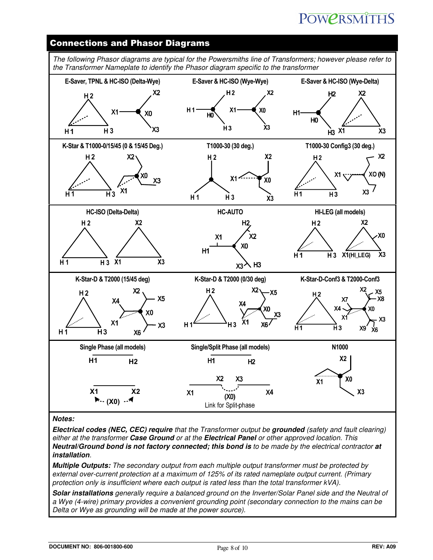# **POWPRSMITHS**

### Connections and Phasor Diagrams



#### **Notes:**

**Electrical codes (NEC, CEC) require** that the Transformer output be **grounded** (safety and fault clearing) either at the transformer **Case Ground** or at the **Electrical Panel** or other approved location. This **Neutral/Ground bond is not factory connected; this bond is** to be made by the electrical contractor **at installation**.

**Multiple Outputs:** The secondary output from each multiple output transformer must be protected by external over-current protection at a maximum of 125% of its rated nameplate output current. (Primary protection only is insufficient where each output is rated less than the total transformer kVA).

**Solar installations** generally require a balanced ground on the Inverter/Solar Panel side and the Neutral of a Wye (4-wire) primary provides a convenient grounding point (secondary connection to the mains can be Delta or Wye as grounding will be made at the power source).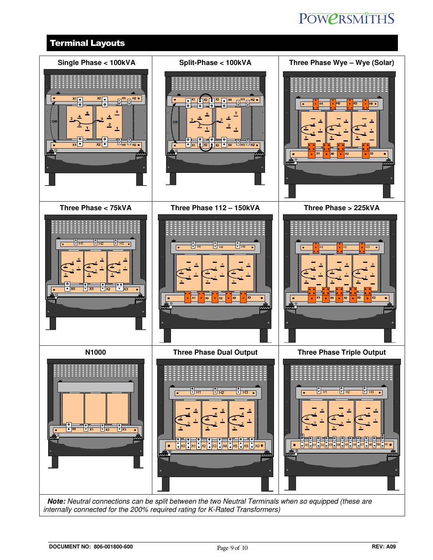# **POWERSMITHS**

# Terminal Layouts



 **Note:** Neutral connections can be split between the two Neutral Terminals when so equipped (these are internally connected for the 200% required rating for K-Rated Transformers)